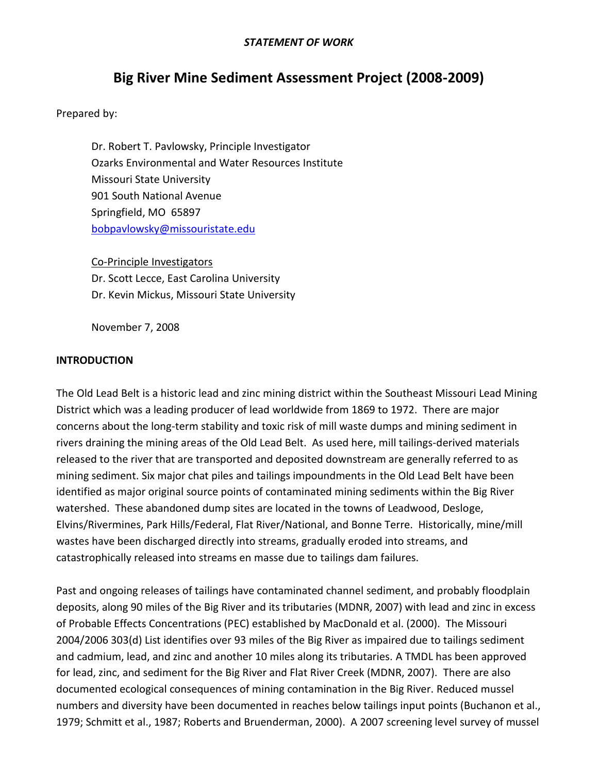#### *STATEMENT OF WORK*

# **Big River Mine Sediment Assessment Project (2008-2009)**

Prepared by:

Dr. Robert T. Pavlowsky, Principle Investigator Ozarks Environmental and Water Resources Institute Missouri State University 901 South National Avenue Springfield, MO 65897 [bobpavlowsky@missouristate.edu](mailto:bobpavlowsky@missouristate.edu)

Co-Principle Investigators Dr. Scott Lecce, East Carolina University Dr. Kevin Mickus, Missouri State University

November 7, 2008

#### **INTRODUCTION**

The Old Lead Belt is a historic lead and zinc mining district within the Southeast Missouri Lead Mining District which was a leading producer of lead worldwide from 1869 to 1972. There are major concerns about the long-term stability and toxic risk of mill waste dumps and mining sediment in rivers draining the mining areas of the Old Lead Belt. As used here, mill tailings-derived materials released to the river that are transported and deposited downstream are generally referred to as mining sediment. Six major chat piles and tailings impoundments in the Old Lead Belt have been identified as major original source points of contaminated mining sediments within the Big River watershed. These abandoned dump sites are located in the towns of Leadwood, Desloge, Elvins/Rivermines, Park Hills/Federal, Flat River/National, and Bonne Terre. Historically, mine/mill wastes have been discharged directly into streams, gradually eroded into streams, and catastrophically released into streams en masse due to tailings dam failures.

Past and ongoing releases of tailings have contaminated channel sediment, and probably floodplain deposits, along 90 miles of the Big River and its tributaries (MDNR, 2007) with lead and zinc in excess of Probable Effects Concentrations (PEC) established by MacDonald et al. (2000). The Missouri 2004/2006 303(d) List identifies over 93 miles of the Big River as impaired due to tailings sediment and cadmium, lead, and zinc and another 10 miles along its tributaries. A TMDL has been approved for lead, zinc, and sediment for the Big River and Flat River Creek (MDNR, 2007). There are also documented ecological consequences of mining contamination in the Big River. Reduced mussel numbers and diversity have been documented in reaches below tailings input points (Buchanon et al., 1979; Schmitt et al., 1987; Roberts and Bruenderman, 2000). A 2007 screening level survey of mussel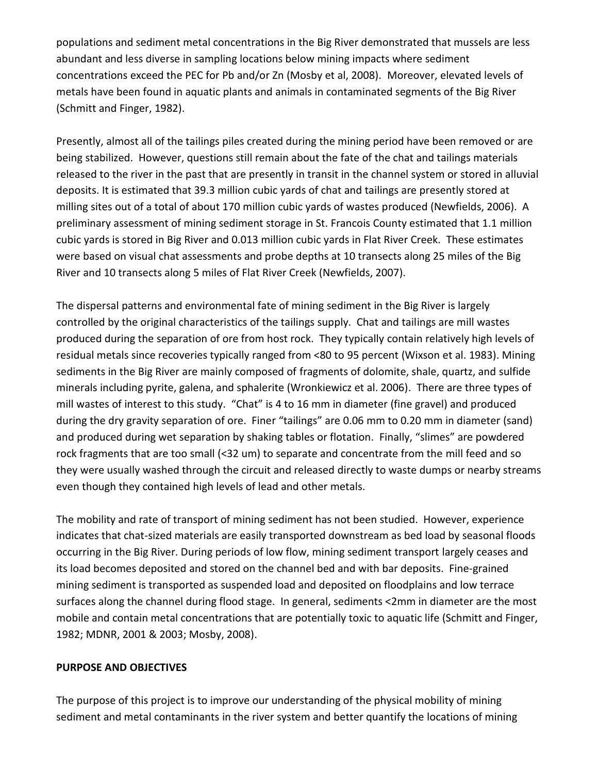populations and sediment metal concentrations in the Big River demonstrated that mussels are less abundant and less diverse in sampling locations below mining impacts where sediment concentrations exceed the PEC for Pb and/or Zn (Mosby et al, 2008). Moreover, elevated levels of metals have been found in aquatic plants and animals in contaminated segments of the Big River (Schmitt and Finger, 1982).

Presently, almost all of the tailings piles created during the mining period have been removed or are being stabilized. However, questions still remain about the fate of the chat and tailings materials released to the river in the past that are presently in transit in the channel system or stored in alluvial deposits. It is estimated that 39.3 million cubic yards of chat and tailings are presently stored at milling sites out of a total of about 170 million cubic yards of wastes produced (Newfields, 2006). A preliminary assessment of mining sediment storage in St. Francois County estimated that 1.1 million cubic yards is stored in Big River and 0.013 million cubic yards in Flat River Creek. These estimates were based on visual chat assessments and probe depths at 10 transects along 25 miles of the Big River and 10 transects along 5 miles of Flat River Creek (Newfields, 2007).

The dispersal patterns and environmental fate of mining sediment in the Big River is largely controlled by the original characteristics of the tailings supply. Chat and tailings are mill wastes produced during the separation of ore from host rock. They typically contain relatively high levels of residual metals since recoveries typically ranged from <80 to 95 percent (Wixson et al. 1983). Mining sediments in the Big River are mainly composed of fragments of dolomite, shale, quartz, and sulfide minerals including pyrite, galena, and sphalerite (Wronkiewicz et al. 2006). There are three types of mill wastes of interest to this study. "Chat" is 4 to 16 mm in diameter (fine gravel) and produced during the dry gravity separation of ore. Finer "tailings" are 0.06 mm to 0.20 mm in diameter (sand) and produced during wet separation by shaking tables or flotation. Finally, "slimes" are powdered rock fragments that are too small (<32 um) to separate and concentrate from the mill feed and so they were usually washed through the circuit and released directly to waste dumps or nearby streams even though they contained high levels of lead and other metals.

The mobility and rate of transport of mining sediment has not been studied. However, experience indicates that chat-sized materials are easily transported downstream as bed load by seasonal floods occurring in the Big River. During periods of low flow, mining sediment transport largely ceases and its load becomes deposited and stored on the channel bed and with bar deposits. Fine-grained mining sediment is transported as suspended load and deposited on floodplains and low terrace surfaces along the channel during flood stage. In general, sediments <2mm in diameter are the most mobile and contain metal concentrations that are potentially toxic to aquatic life (Schmitt and Finger, 1982; MDNR, 2001 & 2003; Mosby, 2008).

#### **PURPOSE AND OBJECTIVES**

The purpose of this project is to improve our understanding of the physical mobility of mining sediment and metal contaminants in the river system and better quantify the locations of mining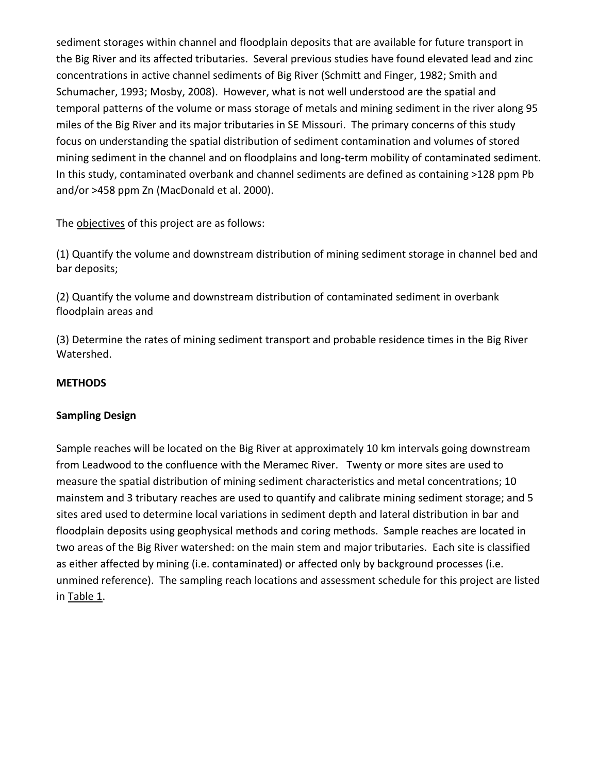sediment storages within channel and floodplain deposits that are available for future transport in the Big River and its affected tributaries. Several previous studies have found elevated lead and zinc concentrations in active channel sediments of Big River (Schmitt and Finger, 1982; Smith and Schumacher, 1993; Mosby, 2008). However, what is not well understood are the spatial and temporal patterns of the volume or mass storage of metals and mining sediment in the river along 95 miles of the Big River and its major tributaries in SE Missouri. The primary concerns of this study focus on understanding the spatial distribution of sediment contamination and volumes of stored mining sediment in the channel and on floodplains and long-term mobility of contaminated sediment. In this study, contaminated overbank and channel sediments are defined as containing >128 ppm Pb and/or >458 ppm Zn (MacDonald et al. 2000).

The objectives of this project are as follows:

(1) Quantify the volume and downstream distribution of mining sediment storage in channel bed and bar deposits;

(2) Quantify the volume and downstream distribution of contaminated sediment in overbank floodplain areas and

(3) Determine the rates of mining sediment transport and probable residence times in the Big River Watershed.

### **METHODS**

### **Sampling Design**

Sample reaches will be located on the Big River at approximately 10 km intervals going downstream from Leadwood to the confluence with the Meramec River. Twenty or more sites are used to measure the spatial distribution of mining sediment characteristics and metal concentrations; 10 mainstem and 3 tributary reaches are used to quantify and calibrate mining sediment storage; and 5 sites ared used to determine local variations in sediment depth and lateral distribution in bar and floodplain deposits using geophysical methods and coring methods. Sample reaches are located in two areas of the Big River watershed: on the main stem and major tributaries. Each site is classified as either affected by mining (i.e. contaminated) or affected only by background processes (i.e. unmined reference). The sampling reach locations and assessment schedule for this project are listed in Table 1.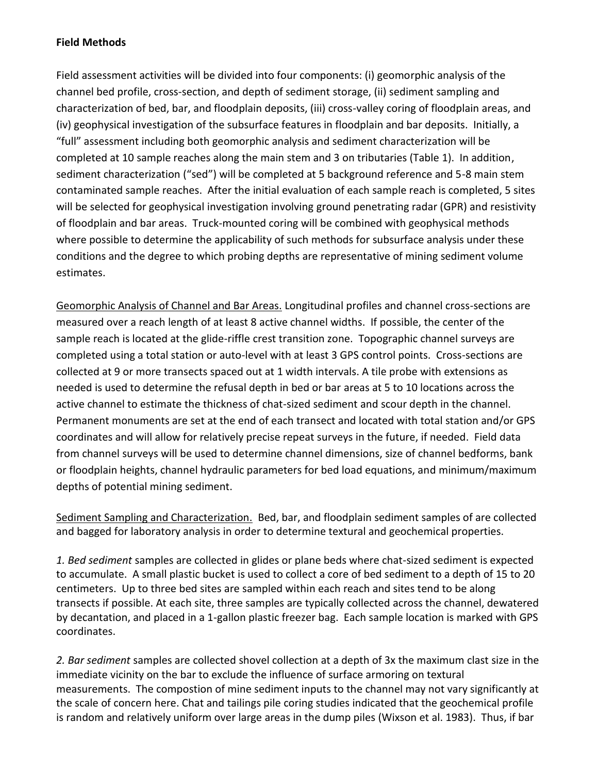### **Field Methods**

Field assessment activities will be divided into four components: (i) geomorphic analysis of the channel bed profile, cross-section, and depth of sediment storage, (ii) sediment sampling and characterization of bed, bar, and floodplain deposits, (iii) cross-valley coring of floodplain areas, and (iv) geophysical investigation of the subsurface features in floodplain and bar deposits. Initially, a "full" assessment including both geomorphic analysis and sediment characterization will be completed at 10 sample reaches along the main stem and 3 on tributaries (Table 1). In addition, sediment characterization ("sed") will be completed at 5 background reference and 5-8 main stem contaminated sample reaches. After the initial evaluation of each sample reach is completed, 5 sites will be selected for geophysical investigation involving ground penetrating radar (GPR) and resistivity of floodplain and bar areas. Truck-mounted coring will be combined with geophysical methods where possible to determine the applicability of such methods for subsurface analysis under these conditions and the degree to which probing depths are representative of mining sediment volume estimates.

Geomorphic Analysis of Channel and Bar Areas. Longitudinal profiles and channel cross-sections are measured over a reach length of at least 8 active channel widths. If possible, the center of the sample reach is located at the glide-riffle crest transition zone. Topographic channel surveys are completed using a total station or auto-level with at least 3 GPS control points. Cross-sections are collected at 9 or more transects spaced out at 1 width intervals. A tile probe with extensions as needed is used to determine the refusal depth in bed or bar areas at 5 to 10 locations across the active channel to estimate the thickness of chat-sized sediment and scour depth in the channel. Permanent monuments are set at the end of each transect and located with total station and/or GPS coordinates and will allow for relatively precise repeat surveys in the future, if needed. Field data from channel surveys will be used to determine channel dimensions, size of channel bedforms, bank or floodplain heights, channel hydraulic parameters for bed load equations, and minimum/maximum depths of potential mining sediment.

Sediment Sampling and Characterization. Bed, bar, and floodplain sediment samples of are collected and bagged for laboratory analysis in order to determine textural and geochemical properties.

*1. Bed sediment* samples are collected in glides or plane beds where chat-sized sediment is expected to accumulate. A small plastic bucket is used to collect a core of bed sediment to a depth of 15 to 20 centimeters. Up to three bed sites are sampled within each reach and sites tend to be along transects if possible. At each site, three samples are typically collected across the channel, dewatered by decantation, and placed in a 1-gallon plastic freezer bag. Each sample location is marked with GPS coordinates.

*2. Bar sediment* samples are collected shovel collection at a depth of 3x the maximum clast size in the immediate vicinity on the bar to exclude the influence of surface armoring on textural measurements. The compostion of mine sediment inputs to the channel may not vary significantly at the scale of concern here. Chat and tailings pile coring studies indicated that the geochemical profile is random and relatively uniform over large areas in the dump piles (Wixson et al. 1983). Thus, if bar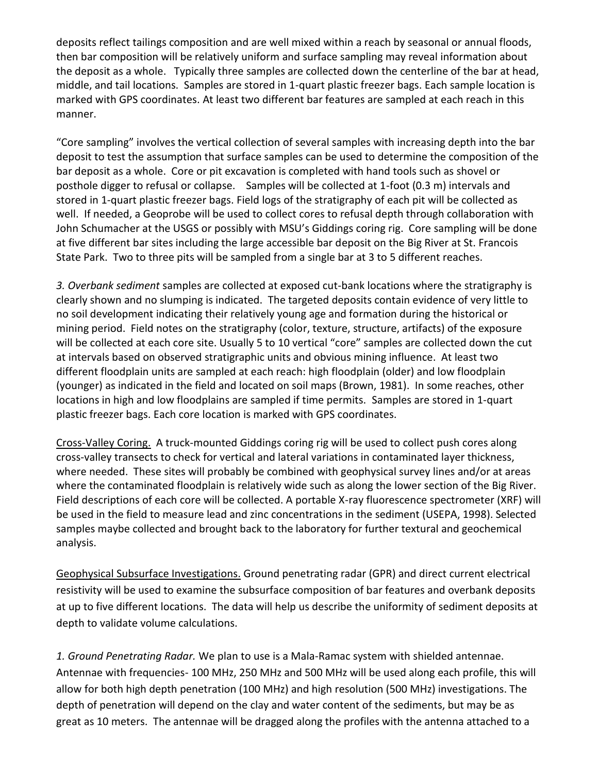deposits reflect tailings composition and are well mixed within a reach by seasonal or annual floods, then bar composition will be relatively uniform and surface sampling may reveal information about the deposit as a whole. Typically three samples are collected down the centerline of the bar at head, middle, and tail locations. Samples are stored in 1-quart plastic freezer bags. Each sample location is marked with GPS coordinates. At least two different bar features are sampled at each reach in this manner.

"Core sampling" involves the vertical collection of several samples with increasing depth into the bar deposit to test the assumption that surface samples can be used to determine the composition of the bar deposit as a whole. Core or pit excavation is completed with hand tools such as shovel or posthole digger to refusal or collapse. Samples will be collected at 1-foot (0.3 m) intervals and stored in 1-quart plastic freezer bags. Field logs of the stratigraphy of each pit will be collected as well. If needed, a Geoprobe will be used to collect cores to refusal depth through collaboration with John Schumacher at the USGS or possibly with MSU's Giddings coring rig. Core sampling will be done at five different bar sites including the large accessible bar deposit on the Big River at St. Francois State Park. Two to three pits will be sampled from a single bar at 3 to 5 different reaches.

*3. Overbank sediment* samples are collected at exposed cut-bank locations where the stratigraphy is clearly shown and no slumping is indicated. The targeted deposits contain evidence of very little to no soil development indicating their relatively young age and formation during the historical or mining period. Field notes on the stratigraphy (color, texture, structure, artifacts) of the exposure will be collected at each core site. Usually 5 to 10 vertical "core" samples are collected down the cut at intervals based on observed stratigraphic units and obvious mining influence. At least two different floodplain units are sampled at each reach: high floodplain (older) and low floodplain (younger) as indicated in the field and located on soil maps (Brown, 1981). In some reaches, other locations in high and low floodplains are sampled if time permits. Samples are stored in 1-quart plastic freezer bags. Each core location is marked with GPS coordinates.

Cross-Valley Coring. A truck-mounted Giddings coring rig will be used to collect push cores along cross-valley transects to check for vertical and lateral variations in contaminated layer thickness, where needed. These sites will probably be combined with geophysical survey lines and/or at areas where the contaminated floodplain is relatively wide such as along the lower section of the Big River. Field descriptions of each core will be collected. A portable X-ray fluorescence spectrometer (XRF) will be used in the field to measure lead and zinc concentrations in the sediment (USEPA, 1998). Selected samples maybe collected and brought back to the laboratory for further textural and geochemical analysis.

Geophysical Subsurface Investigations. Ground penetrating radar (GPR) and direct current electrical resistivity will be used to examine the subsurface composition of bar features and overbank deposits at up to five different locations. The data will help us describe the uniformity of sediment deposits at depth to validate volume calculations.

*1. Ground Penetrating Radar.* We plan to use is a Mala-Ramac system with shielded antennae. Antennae with frequencies- 100 MHz, 250 MHz and 500 MHz will be used along each profile, this will allow for both high depth penetration (100 MHz) and high resolution (500 MHz) investigations. The depth of penetration will depend on the clay and water content of the sediments, but may be as great as 10 meters. The antennae will be dragged along the profiles with the antenna attached to a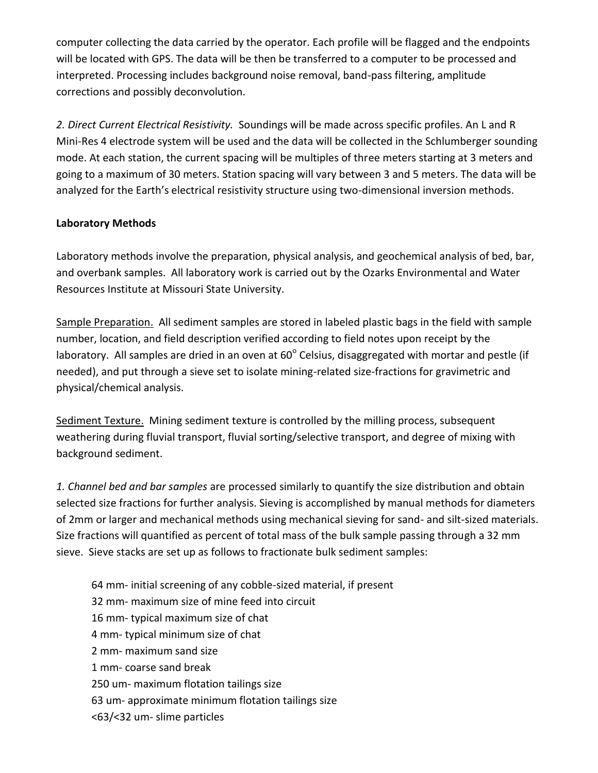computer collecting the data carried by the operator. Each profile will be flagged and the endpoints will be located with GPS. The data will be then be transferred to a computer to be processed and interpreted. Processing includes background noise removal, band-pass filtering, amplitude corrections and possibly deconvolution.

*2. Direct Current Electrical Resistivity.* Soundings will be made across specific profiles. An L and R Mini-Res 4 electrode system will be used and the data will be collected in the Schlumberger sounding mode. At each station, the current spacing will be multiples of three meters starting at 3 meters and going to a maximum of 30 meters. Station spacing will vary between 3 and 5 meters. The data will be analyzed for the Earth's electrical resistivity structure using two-dimensional inversion methods.

### **Laboratory Methods**

Laboratory methods involve the preparation, physical analysis, and geochemical analysis of bed, bar, and overbank samples. All laboratory work is carried out by the Ozarks Environmental and Water Resources Institute at Missouri State University.

Sample Preparation. All sediment samples are stored in labeled plastic bags in the field with sample number, location, and field description verified according to field notes upon receipt by the laboratory. All samples are dried in an oven at 60 $^{\circ}$  Celsius, disaggregated with mortar and pestle (if needed), and put through a sieve set to isolate mining-related size-fractions for gravimetric and physical/chemical analysis.

Sediment Texture. Mining sediment texture is controlled by the milling process, subsequent weathering during fluvial transport, fluvial sorting/selective transport, and degree of mixing with background sediment.

*1. Channel bed and bar samples* are processed similarly to quantify the size distribution and obtain selected size fractions for further analysis. Sieving is accomplished by manual methods for diameters of 2mm or larger and mechanical methods using mechanical sieving for sand- and silt-sized materials. Size fractions will quantified as percent of total mass of the bulk sample passing through a 32 mm sieve. Sieve stacks are set up as follows to fractionate bulk sediment samples:

64 mm- initial screening of any cobble-sized material, if present 32 mm- maximum size of mine feed into circuit 16 mm- typical maximum size of chat 4 mm- typical minimum size of chat 2 mm- maximum sand size 1 mm- coarse sand break 250 um- maximum flotation tailings size 63 um- approximate minimum flotation tailings size <63/<32 um- slime particles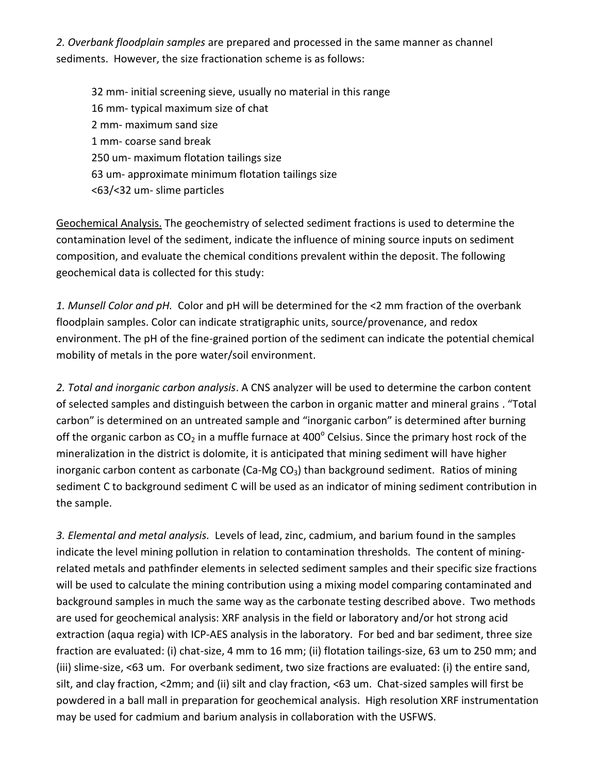*2. Overbank floodplain samples* are prepared and processed in the same manner as channel sediments. However, the size fractionation scheme is as follows:

32 mm- initial screening sieve, usually no material in this range 16 mm- typical maximum size of chat 2 mm- maximum sand size 1 mm- coarse sand break 250 um- maximum flotation tailings size 63 um- approximate minimum flotation tailings size <63/<32 um- slime particles

Geochemical Analysis. The geochemistry of selected sediment fractions is used to determine the contamination level of the sediment, indicate the influence of mining source inputs on sediment composition, and evaluate the chemical conditions prevalent within the deposit. The following geochemical data is collected for this study:

*1. Munsell Color and pH.* Color and pH will be determined for the <2 mm fraction of the overbank floodplain samples. Color can indicate stratigraphic units, source/provenance, and redox environment. The pH of the fine-grained portion of the sediment can indicate the potential chemical mobility of metals in the pore water/soil environment.

*2. Total and inorganic carbon analysis*. A CNS analyzer will be used to determine the carbon content of selected samples and distinguish between the carbon in organic matter and mineral grains . "Total carbon" is determined on an untreated sample and "inorganic carbon" is determined after burning off the organic carbon as CO<sub>2</sub> in a muffle furnace at 400<sup>°</sup> Celsius. Since the primary host rock of the mineralization in the district is dolomite, it is anticipated that mining sediment will have higher inorganic carbon content as carbonate (Ca-Mg  $CO<sub>3</sub>$ ) than background sediment. Ratios of mining sediment C to background sediment C will be used as an indicator of mining sediment contribution in the sample.

*3. Elemental and metal analysis.* Levels of lead, zinc, cadmium, and barium found in the samples indicate the level mining pollution in relation to contamination thresholds. The content of miningrelated metals and pathfinder elements in selected sediment samples and their specific size fractions will be used to calculate the mining contribution using a mixing model comparing contaminated and background samples in much the same way as the carbonate testing described above. Two methods are used for geochemical analysis: XRF analysis in the field or laboratory and/or hot strong acid extraction (aqua regia) with ICP-AES analysis in the laboratory. For bed and bar sediment, three size fraction are evaluated: (i) chat-size, 4 mm to 16 mm; (ii) flotation tailings-size, 63 um to 250 mm; and (iii) slime-size, <63 um. For overbank sediment, two size fractions are evaluated: (i) the entire sand, silt, and clay fraction, <2mm; and (ii) silt and clay fraction, <63 um. Chat-sized samples will first be powdered in a ball mall in preparation for geochemical analysis. High resolution XRF instrumentation may be used for cadmium and barium analysis in collaboration with the USFWS.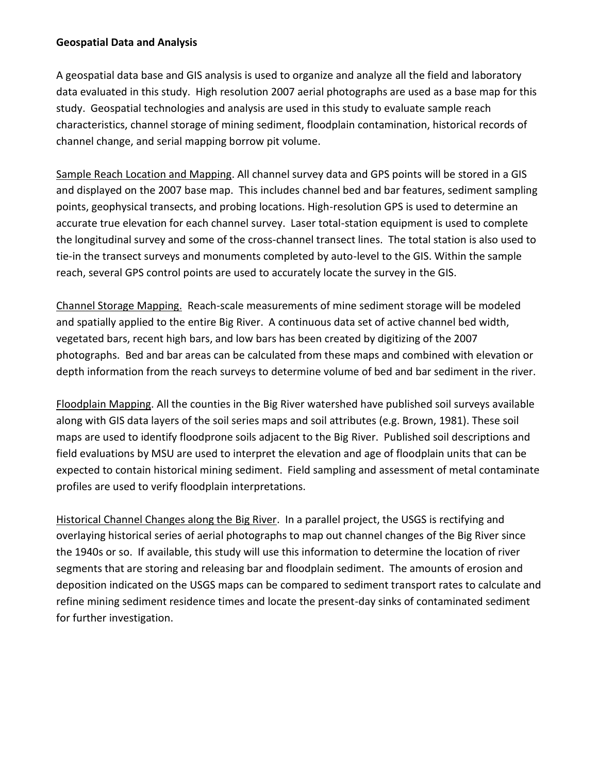#### **Geospatial Data and Analysis**

A geospatial data base and GIS analysis is used to organize and analyze all the field and laboratory data evaluated in this study. High resolution 2007 aerial photographs are used as a base map for this study. Geospatial technologies and analysis are used in this study to evaluate sample reach characteristics, channel storage of mining sediment, floodplain contamination, historical records of channel change, and serial mapping borrow pit volume.

Sample Reach Location and Mapping. All channel survey data and GPS points will be stored in a GIS and displayed on the 2007 base map. This includes channel bed and bar features, sediment sampling points, geophysical transects, and probing locations. High-resolution GPS is used to determine an accurate true elevation for each channel survey. Laser total-station equipment is used to complete the longitudinal survey and some of the cross-channel transect lines. The total station is also used to tie-in the transect surveys and monuments completed by auto-level to the GIS. Within the sample reach, several GPS control points are used to accurately locate the survey in the GIS.

Channel Storage Mapping. Reach-scale measurements of mine sediment storage will be modeled and spatially applied to the entire Big River. A continuous data set of active channel bed width, vegetated bars, recent high bars, and low bars has been created by digitizing of the 2007 photographs. Bed and bar areas can be calculated from these maps and combined with elevation or depth information from the reach surveys to determine volume of bed and bar sediment in the river.

Floodplain Mapping. All the counties in the Big River watershed have published soil surveys available along with GIS data layers of the soil series maps and soil attributes (e.g. Brown, 1981). These soil maps are used to identify floodprone soils adjacent to the Big River. Published soil descriptions and field evaluations by MSU are used to interpret the elevation and age of floodplain units that can be expected to contain historical mining sediment. Field sampling and assessment of metal contaminate profiles are used to verify floodplain interpretations.

Historical Channel Changes along the Big River. In a parallel project, the USGS is rectifying and overlaying historical series of aerial photographs to map out channel changes of the Big River since the 1940s or so. If available, this study will use this information to determine the location of river segments that are storing and releasing bar and floodplain sediment. The amounts of erosion and deposition indicated on the USGS maps can be compared to sediment transport rates to calculate and refine mining sediment residence times and locate the present-day sinks of contaminated sediment for further investigation.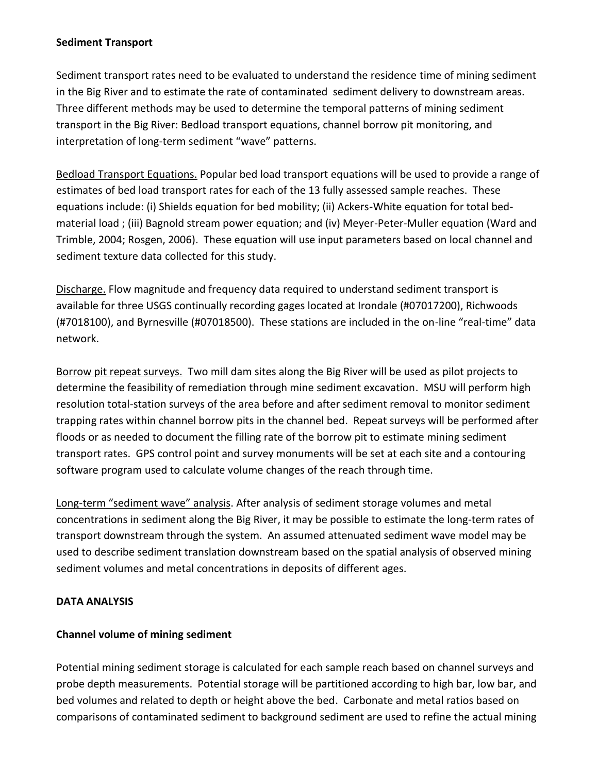#### **Sediment Transport**

Sediment transport rates need to be evaluated to understand the residence time of mining sediment in the Big River and to estimate the rate of contaminated sediment delivery to downstream areas. Three different methods may be used to determine the temporal patterns of mining sediment transport in the Big River: Bedload transport equations, channel borrow pit monitoring, and interpretation of long-term sediment "wave" patterns.

Bedload Transport Equations. Popular bed load transport equations will be used to provide a range of estimates of bed load transport rates for each of the 13 fully assessed sample reaches. These equations include: (i) Shields equation for bed mobility; (ii) Ackers-White equation for total bedmaterial load ; (iii) Bagnold stream power equation; and (iv) Meyer-Peter-Muller equation (Ward and Trimble, 2004; Rosgen, 2006). These equation will use input parameters based on local channel and sediment texture data collected for this study.

Discharge. Flow magnitude and frequency data required to understand sediment transport is available for three USGS continually recording gages located at Irondale (#07017200), Richwoods (#7018100), and Byrnesville (#07018500). These stations are included in the on-line "real-time" data network.

Borrow pit repeat surveys. Two mill dam sites along the Big River will be used as pilot projects to determine the feasibility of remediation through mine sediment excavation. MSU will perform high resolution total-station surveys of the area before and after sediment removal to monitor sediment trapping rates within channel borrow pits in the channel bed. Repeat surveys will be performed after floods or as needed to document the filling rate of the borrow pit to estimate mining sediment transport rates. GPS control point and survey monuments will be set at each site and a contouring software program used to calculate volume changes of the reach through time.

Long-term "sediment wave" analysis. After analysis of sediment storage volumes and metal concentrations in sediment along the Big River, it may be possible to estimate the long-term rates of transport downstream through the system. An assumed attenuated sediment wave model may be used to describe sediment translation downstream based on the spatial analysis of observed mining sediment volumes and metal concentrations in deposits of different ages.

### **DATA ANALYSIS**

### **Channel volume of mining sediment**

Potential mining sediment storage is calculated for each sample reach based on channel surveys and probe depth measurements. Potential storage will be partitioned according to high bar, low bar, and bed volumes and related to depth or height above the bed. Carbonate and metal ratios based on comparisons of contaminated sediment to background sediment are used to refine the actual mining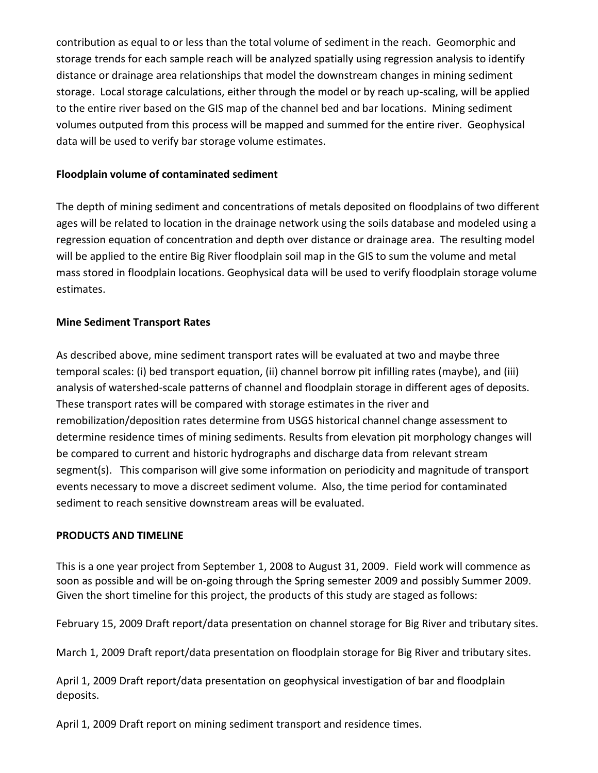contribution as equal to or less than the total volume of sediment in the reach. Geomorphic and storage trends for each sample reach will be analyzed spatially using regression analysis to identify distance or drainage area relationships that model the downstream changes in mining sediment storage. Local storage calculations, either through the model or by reach up-scaling, will be applied to the entire river based on the GIS map of the channel bed and bar locations. Mining sediment volumes outputed from this process will be mapped and summed for the entire river. Geophysical data will be used to verify bar storage volume estimates.

#### **Floodplain volume of contaminated sediment**

The depth of mining sediment and concentrations of metals deposited on floodplains of two different ages will be related to location in the drainage network using the soils database and modeled using a regression equation of concentration and depth over distance or drainage area. The resulting model will be applied to the entire Big River floodplain soil map in the GIS to sum the volume and metal mass stored in floodplain locations. Geophysical data will be used to verify floodplain storage volume estimates.

#### **Mine Sediment Transport Rates**

As described above, mine sediment transport rates will be evaluated at two and maybe three temporal scales: (i) bed transport equation, (ii) channel borrow pit infilling rates (maybe), and (iii) analysis of watershed-scale patterns of channel and floodplain storage in different ages of deposits. These transport rates will be compared with storage estimates in the river and remobilization/deposition rates determine from USGS historical channel change assessment to determine residence times of mining sediments. Results from elevation pit morphology changes will be compared to current and historic hydrographs and discharge data from relevant stream segment(s). This comparison will give some information on periodicity and magnitude of transport events necessary to move a discreet sediment volume. Also, the time period for contaminated sediment to reach sensitive downstream areas will be evaluated.

#### **PRODUCTS AND TIMELINE**

This is a one year project from September 1, 2008 to August 31, 2009. Field work will commence as soon as possible and will be on-going through the Spring semester 2009 and possibly Summer 2009. Given the short timeline for this project, the products of this study are staged as follows:

February 15, 2009 Draft report/data presentation on channel storage for Big River and tributary sites.

March 1, 2009 Draft report/data presentation on floodplain storage for Big River and tributary sites.

April 1, 2009 Draft report/data presentation on geophysical investigation of bar and floodplain deposits.

April 1, 2009 Draft report on mining sediment transport and residence times.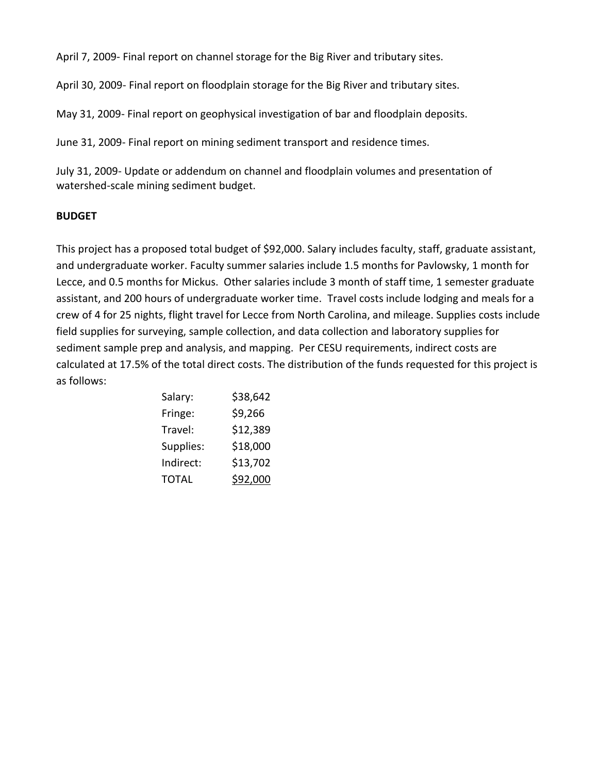April 7, 2009- Final report on channel storage for the Big River and tributary sites.

April 30, 2009- Final report on floodplain storage for the Big River and tributary sites.

May 31, 2009- Final report on geophysical investigation of bar and floodplain deposits.

June 31, 2009- Final report on mining sediment transport and residence times.

July 31, 2009- Update or addendum on channel and floodplain volumes and presentation of watershed-scale mining sediment budget.

### **BUDGET**

This project has a proposed total budget of \$92,000. Salary includes faculty, staff, graduate assistant, and undergraduate worker. Faculty summer salaries include 1.5 months for Pavlowsky, 1 month for Lecce, and 0.5 months for Mickus. Other salaries include 3 month of staff time, 1 semester graduate assistant, and 200 hours of undergraduate worker time. Travel costs include lodging and meals for a crew of 4 for 25 nights, flight travel for Lecce from North Carolina, and mileage. Supplies costs include field supplies for surveying, sample collection, and data collection and laboratory supplies for sediment sample prep and analysis, and mapping. Per CESU requirements, indirect costs are calculated at 17.5% of the total direct costs. The distribution of the funds requested for this project is as follows:

| Salary:      | \$38,642 |  |
|--------------|----------|--|
| Fringe:      | \$9,266  |  |
| Travel:      | \$12,389 |  |
| Supplies:    | \$18,000 |  |
| Indirect:    | \$13,702 |  |
| <b>TOTAL</b> | \$92,000 |  |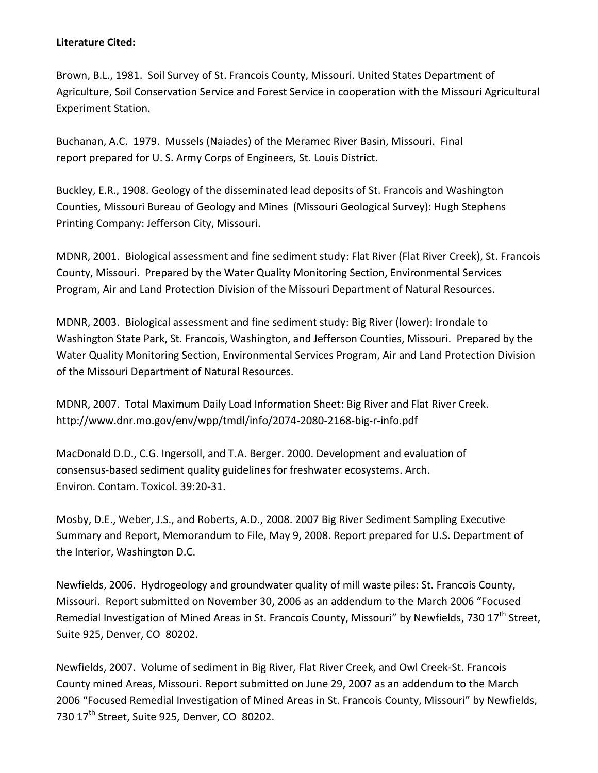#### **Literature Cited:**

Brown, B.L., 1981. Soil Survey of St. Francois County, Missouri. United States Department of Agriculture, Soil Conservation Service and Forest Service in cooperation with the Missouri Agricultural Experiment Station.

Buchanan, A.C. 1979. Mussels (Naiades) of the Meramec River Basin, Missouri. Final report prepared for U. S. Army Corps of Engineers, St. Louis District.

Buckley, E.R., 1908. Geology of the disseminated lead deposits of St. Francois and Washington Counties, Missouri Bureau of Geology and Mines (Missouri Geological Survey): Hugh Stephens Printing Company: Jefferson City, Missouri.

MDNR, 2001. Biological assessment and fine sediment study: Flat River (Flat River Creek), St. Francois County, Missouri. Prepared by the Water Quality Monitoring Section, Environmental Services Program, Air and Land Protection Division of the Missouri Department of Natural Resources.

MDNR, 2003. Biological assessment and fine sediment study: Big River (lower): Irondale to Washington State Park, St. Francois, Washington, and Jefferson Counties, Missouri. Prepared by the Water Quality Monitoring Section, Environmental Services Program, Air and Land Protection Division of the Missouri Department of Natural Resources.

MDNR, 2007. Total Maximum Daily Load Information Sheet: Big River and Flat River Creek. http://www.dnr.mo.gov/env/wpp/tmdl/info/2074-2080-2168-big-r-info.pdf

MacDonald D.D., C.G. Ingersoll, and T.A. Berger. 2000. Development and evaluation of consensus-based sediment quality guidelines for freshwater ecosystems. Arch. Environ. Contam. Toxicol. 39:20-31.

Mosby, D.E., Weber, J.S., and Roberts, A.D., 2008. 2007 Big River Sediment Sampling Executive Summary and Report, Memorandum to File, May 9, 2008. Report prepared for U.S. Department of the Interior, Washington D.C.

Newfields, 2006. Hydrogeology and groundwater quality of mill waste piles: St. Francois County, Missouri. Report submitted on November 30, 2006 as an addendum to the March 2006 "Focused Remedial Investigation of Mined Areas in St. Francois County, Missouri" by Newfields, 730 17<sup>th</sup> Street. Suite 925, Denver, CO 80202.

Newfields, 2007. Volume of sediment in Big River, Flat River Creek, and Owl Creek-St. Francois County mined Areas, Missouri. Report submitted on June 29, 2007 as an addendum to the March 2006 "Focused Remedial Investigation of Mined Areas in St. Francois County, Missouri" by Newfields, 730 17<sup>th</sup> Street, Suite 925, Denver, CO 80202.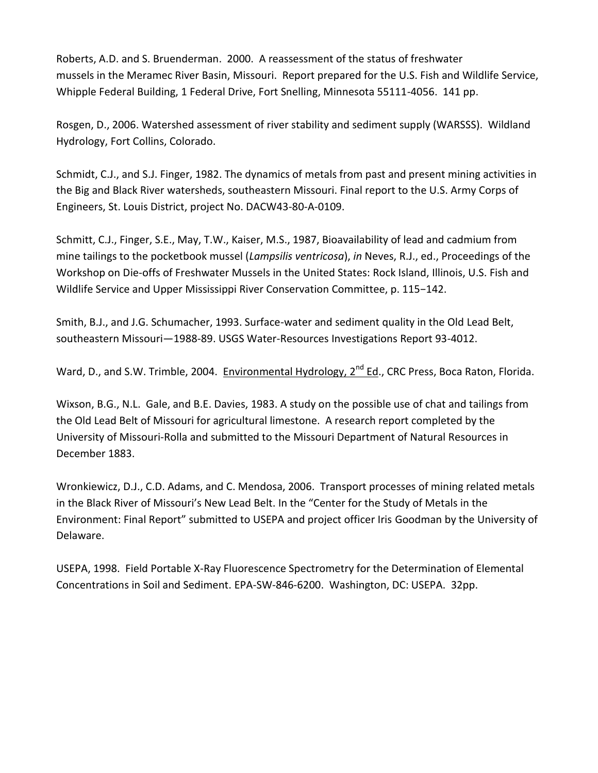Roberts, A.D. and S. Bruenderman. 2000. A reassessment of the status of freshwater mussels in the Meramec River Basin, Missouri. Report prepared for the U.S. Fish and Wildlife Service, Whipple Federal Building, 1 Federal Drive, Fort Snelling, Minnesota 55111-4056. 141 pp.

Rosgen, D., 2006. Watershed assessment of river stability and sediment supply (WARSSS). Wildland Hydrology, Fort Collins, Colorado.

Schmidt, C.J., and S.J. Finger, 1982. The dynamics of metals from past and present mining activities in the Big and Black River watersheds, southeastern Missouri. Final report to the U.S. Army Corps of Engineers, St. Louis District, project No. DACW43-80-A-0109.

Schmitt, C.J., Finger, S.E., May, T.W., Kaiser, M.S., 1987, Bioavailability of lead and cadmium from mine tailings to the pocketbook mussel (*Lampsilis ventricosa*), *in* Neves, R.J., ed., Proceedings of the Workshop on Die-offs of Freshwater Mussels in the United States: Rock Island, Illinois, U.S. Fish and Wildlife Service and Upper Mississippi River Conservation Committee, p. 115−142.

Smith, B.J., and J.G. Schumacher, 1993. Surface-water and sediment quality in the Old Lead Belt, southeastern Missouri—1988-89. USGS Water-Resources Investigations Report 93-4012.

Ward, D., and S.W. Trimble, 2004. Environmental Hydrology, 2<sup>nd</sup> Ed., CRC Press, Boca Raton, Florida.

Wixson, B.G., N.L. Gale, and B.E. Davies, 1983. A study on the possible use of chat and tailings from the Old Lead Belt of Missouri for agricultural limestone. A research report completed by the University of Missouri-Rolla and submitted to the Missouri Department of Natural Resources in December 1883.

Wronkiewicz, D.J., C.D. Adams, and C. Mendosa, 2006. Transport processes of mining related metals in the Black River of Missouri's New Lead Belt. In the "Center for the Study of Metals in the Environment: Final Report" submitted to USEPA and project officer Iris Goodman by the University of Delaware.

USEPA, 1998. Field Portable X-Ray Fluorescence Spectrometry for the Determination of Elemental Concentrations in Soil and Sediment. EPA-SW-846-6200. Washington, DC: USEPA. 32pp.